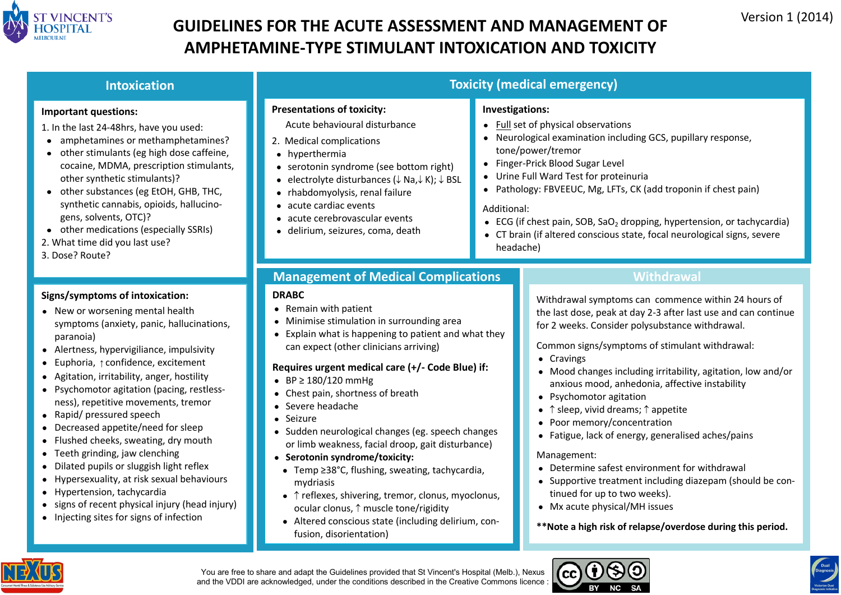

## **GUIDELINES FOR THE ACUTE ASSESSMENT AND MANAGEMENT OF** Version 1 (2014) **AMPHETAMINE-TYPE STIMULANT INTOXICATION AND TOXICITY**

| <b>Intoxication</b>                                                                                                                                                                                                                                                                                                                                                                                                                                                                                                                                                                                                                                                                                                                       | <b>Toxicity (medical emergency)</b>                                                                                                                                                                                                                                                                                                                                                                                                                                                                                                                                                                                                                                                                                                                                                     |                                                                                                                                                                                                                                                                                                                                                                                                                                                                                                                                                                                                                                                                                                                                                                                                                      |  |  |
|-------------------------------------------------------------------------------------------------------------------------------------------------------------------------------------------------------------------------------------------------------------------------------------------------------------------------------------------------------------------------------------------------------------------------------------------------------------------------------------------------------------------------------------------------------------------------------------------------------------------------------------------------------------------------------------------------------------------------------------------|-----------------------------------------------------------------------------------------------------------------------------------------------------------------------------------------------------------------------------------------------------------------------------------------------------------------------------------------------------------------------------------------------------------------------------------------------------------------------------------------------------------------------------------------------------------------------------------------------------------------------------------------------------------------------------------------------------------------------------------------------------------------------------------------|----------------------------------------------------------------------------------------------------------------------------------------------------------------------------------------------------------------------------------------------------------------------------------------------------------------------------------------------------------------------------------------------------------------------------------------------------------------------------------------------------------------------------------------------------------------------------------------------------------------------------------------------------------------------------------------------------------------------------------------------------------------------------------------------------------------------|--|--|
| <b>Important questions:</b><br>1. In the last 24-48hrs, have you used:<br>• amphetamines or methamphetamines?<br>• other stimulants (eg high dose caffeine,<br>cocaine, MDMA, prescription stimulants,<br>other synthetic stimulants)?<br>• other substances (eg EtOH, GHB, THC,<br>synthetic cannabis, opioids, hallucino-<br>gens, solvents, OTC)?<br>• other medications (especially SSRIs)<br>2. What time did you last use?<br>3. Dose? Route?                                                                                                                                                                                                                                                                                       | <b>Presentations of toxicity:</b><br>Acute behavioural disturbance<br>2. Medical complications<br>• hyperthermia<br>• serotonin syndrome (see bottom right)<br>• electrolyte disturbances $(\downarrow$ Na, $\downarrow$ K); $\downarrow$ BSL<br>• rhabdomyolysis, renal failure<br>• acute cardiac events<br>• acute cerebrovascular events<br>· delirium, seizures, coma, death                                                                                                                                                                                                                                                                                                                                                                                                       | Investigations:<br>• Full set of physical observations<br>Neurological examination including GCS, pupillary response,<br>tone/power/tremor<br>• Finger-Prick Blood Sugar Level<br>• Urine Full Ward Test for proteinuria<br>Pathology: FBVEEUC, Mg, LFTs, CK (add troponin if chest pain)<br>Additional:<br>• ECG (if chest pain, SOB, SaO <sub>2</sub> dropping, hypertension, or tachycardia)<br>CT brain (if altered conscious state, focal neurological signs, severe<br>headache)                                                                                                                                                                                                                                                                                                                               |  |  |
| Signs/symptoms of intoxication:<br>• New or worsening mental health<br>symptoms (anxiety, panic, hallucinations,<br>paranoia)<br>• Alertness, hypervigiliance, impulsivity<br>• Euphoria, $\uparrow$ confidence, excitement<br>• Agitation, irritability, anger, hostility<br>• Psychomotor agitation (pacing, restless-<br>ness), repetitive movements, tremor<br>• Rapid/ pressured speech<br>• Decreased appetite/need for sleep<br>• Flushed cheeks, sweating, dry mouth<br>• Teeth grinding, jaw clenching<br>• Dilated pupils or sluggish light reflex<br>• Hypersexuality, at risk sexual behaviours<br>• Hypertension, tachycardia<br>• signs of recent physical injury (head injury)<br>• Injecting sites for signs of infection | <b>Management of Medical Complications</b><br><b>DRABC</b><br>• Remain with patient<br>• Minimise stimulation in surrounding area<br>• Explain what is happening to patient and what they<br>can expect (other clinicians arriving)<br>Requires urgent medical care (+/- Code Blue) if:<br>• BP $\geq$ 180/120 mmHg<br>• Chest pain, shortness of breath<br>• Severe headache<br>• Seizure<br>• Sudden neurological changes (eg. speech changes<br>or limb weakness, facial droop, gait disturbance)<br>• Serotonin syndrome/toxicity:<br>• Temp ≥38°C, flushing, sweating, tachycardia,<br>mydriasis<br>• ↑ reflexes, shivering, tremor, clonus, myoclonus,<br>ocular clonus, 1 muscle tone/rigidity<br>• Altered conscious state (including delirium, con-<br>fusion, disorientation) | <b>Withdrawal</b><br>Withdrawal symptoms can commence within 24 hours of<br>the last dose, peak at day 2-3 after last use and can continue<br>for 2 weeks. Consider polysubstance withdrawal.<br>Common signs/symptoms of stimulant withdrawal:<br>• Cravings<br>• Mood changes including irritability, agitation, low and/or<br>anxious mood, anhedonia, affective instability<br>• Psychomotor agitation<br>• $\uparrow$ sleep, vivid dreams; $\uparrow$ appetite<br>• Poor memory/concentration<br>• Fatigue, lack of energy, generalised aches/pains<br>Management:<br>• Determine safest environment for withdrawal<br>• Supportive treatment including diazepam (should be con-<br>tinued for up to two weeks).<br>• Mx acute physical/MH issues<br>**Note a high risk of relapse/overdose during this period. |  |  |



You are free to share and adapt the Guidelines provided that St Vincent's Hospital (Melb.), Nexus and the VDDI are acknowledged, under the conditions described in the Creative Commons licence :



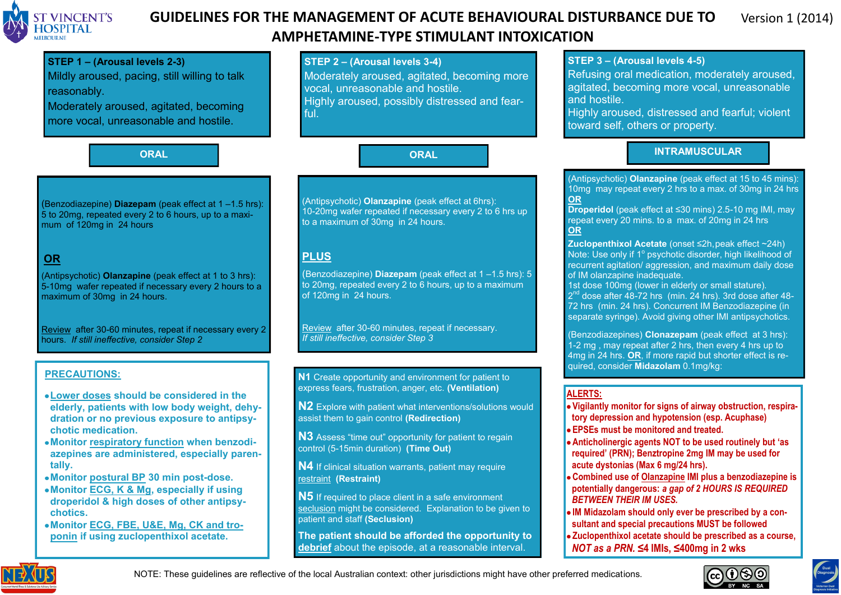

### **AND ST VINCENT'S GUIDELINES FOR THE MANAGEMENT OF ACUTE BEHAVIOURAL DISTURBANCE DUE TO** Version 1 (2014) **AMPHETAMINE-TYPE STIMULANT INTOXICATION**

#### **STEP 1 – (Arousal levels 2-3)** Mildly aroused, pacing, still willing to talk reasonably. Moderately aroused, agitated, becoming more vocal, unreasonable and hostile. **STEP 2 – (Arousal levels 3-4)** Moderately aroused, agitated, becoming more vocal, unreasonable and hostile. Highly aroused, possibly distressed and fearful. **STEP 3 – (Arousal levels 4-5)** Refusing oral medication, moderately aroused, agitated, becoming more vocal, unreasonable and hostile. Highly aroused, distressed and fearful; violent toward self, others or property. **ORAL ORAL INTRAMUSCULAR** (Benzodiazepine) **Diazepam** (peak effect at 1 –1.5 hrs):  $\overline{5}$  to 20mg, repeated every 2 to 6 hours, up to a maximum of 120mg in 24 hours **OR** (Antipsychotic) **Olanzapine** (peak effect at 1 to 3 hrs): 5-10mg wafer repeated if necessary every 2 hours to a maximum of 30mg in 24 hours. Review after 30-60 minutes, repeat if necessary every 2 hours. *If still ineffective, consider Step 2* (Antipsychotic) **Olanzapine** (peak effect at 6hrs): 10-20mg wafer repeated if necessary every 2 to 6 hrs up to a maximum of 30mg in 24 hours. **PLUS** (Benzodiazepine) **Diazepam** (peak effect at 1 –1.5 hrs): 5 to 20mg, repeated every 2 to 6 hours, up to a maximum of 120mg in 24 hours. Review after 30-60 minutes, repeat if necessary. *If still ineffective, consider Step 3* (Antipsychotic) **Olanzapine** (peak effect at 15 to 45 mins): 10mg may repeat every 2 hrs to a max. of 30mg in 24 hrs **OR Droperidol** (peak effect at ≤30 mins) 2.5-10 mg IMI, may repeat every 20 mins. to a max. of 20mg in 24 hrs **OR Zuclopenthixol Acetate** (onset ≤2h,peak effect ~24h) Note: Use only if 1° psychotic disorder, high likelihood of recurrent agitation/ aggression, and maximum daily dose of IM olanzapine inadequate. 1st dose 100mg (lower in elderly or small stature).  $2^{nd}$  dose after  $\overline{48}$ -72 hrs (min. 24 hrs). 3rd dose after 48-72 hrs (min. 24 hrs). Concurrent IM Benzodiazepine (in separate syringe). Avoid giving other IMI antipsychotics. (Benzodiazepines) **Clonazepam** (peak effect at 3 hrs): 1-2 mg , may repeat after 2 hrs, then every 4 hrs up to 4mg in 24 hrs. **OR**, if more rapid but shorter effect is required, consider **Midazolam** 0.1mg/kg: **PRECAUTIONS: Lower doses should be considered in the elderly, patients with low body weight, dehydration or no previous exposure to antipsychotic medication. Monitor respiratory function when benzodiazepines are administered, especially parentally. Monitor postural BP 30 min post-dose. N1** Create opportunity and environment for patient to express fears, frustration, anger, etc. **(Ventilation) N2** Explore with patient what interventions/solutions would assist them to gain control **(Redirection) N3** Assess "time out" opportunity for patient to regain control (5-15min duration) **(Time Out) N4** If clinical situation warrants, patient may require restraint **(Restraint) ALERTS: Vigilantly monitor for signs of airway obstruction, respiratory depression and hypotension (esp. Acuphase) EPSEs must be monitored and treated. Anticholinergic agents NOT to be used routinely but 'as required' (PRN); Benztropine 2mg IM may be used for acute dystonias (Max 6 mg/24 hrs). Combined use of Olanzapine IMI plus a benzodiazepine is potentially dangerous:** *a gap of 2 HOURS IS REQUIRED*

- **Monitor ECG, K & Mg, especially if using droperidol & high doses of other antipsychotics.**
- **Monitor ECG, FBE, U&E, Mg, CK and troponin if using zuclopenthixol acetate.**

NOTE: These guidelines are reflective of the local Australian context: other jurisdictions might have other preferred medications.

**The patient should be afforded the opportunity to debrief** about the episode, at a reasonable interval.

**N5** If required to place client in a safe environment seclusion might be considered. Explanation to be given to

patient and staff **(Seclusion)**



*BETWEEN THEIR IM USES.*

**IM Midazolam should only ever be prescribed by a consultant and special precautions MUST be followed Zuclopenthixol acetate should be prescribed as a course,** 

*NOT as a PRN.* **≤4 IMIs, ≤400mg in 2 wks**

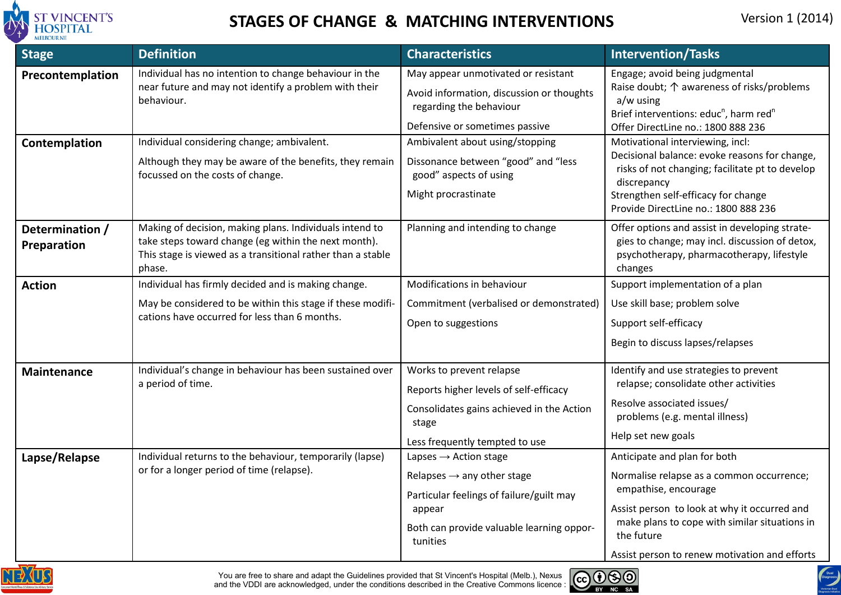

# **STAGES OF CHANGE & MATCHING INTERVENTIONS** Version 1 (2014)

| <b>Stage</b>                   | <b>Definition</b>                                                                                                                                                                        | <b>Characteristics</b>                                                                                                                                                                     | <b>Intervention/Tasks</b>                                                                                                                                                                                                                                         |
|--------------------------------|------------------------------------------------------------------------------------------------------------------------------------------------------------------------------------------|--------------------------------------------------------------------------------------------------------------------------------------------------------------------------------------------|-------------------------------------------------------------------------------------------------------------------------------------------------------------------------------------------------------------------------------------------------------------------|
| Precontemplation               | Individual has no intention to change behaviour in the<br>near future and may not identify a problem with their<br>behaviour.                                                            | May appear unmotivated or resistant<br>Avoid information, discussion or thoughts<br>regarding the behaviour<br>Defensive or sometimes passive                                              | Engage; avoid being judgmental<br>Raise doubt; $\uparrow$ awareness of risks/problems<br>a/w using<br>Brief interventions: educ <sup>n</sup> , harm red <sup>n</sup><br>Offer DirectLine no.: 1800 888 236                                                        |
| Contemplation                  | Individual considering change; ambivalent.<br>Although they may be aware of the benefits, they remain<br>focussed on the costs of change.                                                | Ambivalent about using/stopping<br>Dissonance between "good" and "less<br>good" aspects of using<br>Might procrastinate                                                                    | Motivational interviewing, incl:<br>Decisional balance: evoke reasons for change,<br>risks of not changing; facilitate pt to develop<br>discrepancy<br>Strengthen self-efficacy for change<br>Provide DirectLine no.: 1800 888 236                                |
| Determination /<br>Preparation | Making of decision, making plans. Individuals intend to<br>take steps toward change (eg within the next month).<br>This stage is viewed as a transitional rather than a stable<br>phase. | Planning and intending to change                                                                                                                                                           | Offer options and assist in developing strate-<br>gies to change; may incl. discussion of detox,<br>psychotherapy, pharmacotherapy, lifestyle<br>changes                                                                                                          |
| <b>Action</b>                  | Individual has firmly decided and is making change.<br>May be considered to be within this stage if these modifi-<br>cations have occurred for less than 6 months.                       | Modifications in behaviour<br>Commitment (verbalised or demonstrated)<br>Open to suggestions                                                                                               | Support implementation of a plan<br>Use skill base; problem solve<br>Support self-efficacy<br>Begin to discuss lapses/relapses                                                                                                                                    |
| <b>Maintenance</b>             | Individual's change in behaviour has been sustained over<br>a period of time.                                                                                                            | Works to prevent relapse<br>Reports higher levels of self-efficacy<br>Consolidates gains achieved in the Action<br>stage<br>Less frequently tempted to use                                 | Identify and use strategies to prevent<br>relapse; consolidate other activities<br>Resolve associated issues/<br>problems (e.g. mental illness)<br>Help set new goals                                                                                             |
| Lapse/Relapse                  | Individual returns to the behaviour, temporarily (lapse)<br>or for a longer period of time (relapse).                                                                                    | Lapses $\rightarrow$ Action stage<br>Relapses $\rightarrow$ any other stage<br>Particular feelings of failure/guilt may<br>appear<br>Both can provide valuable learning oppor-<br>tunities | Anticipate and plan for both<br>Normalise relapse as a common occurrence;<br>empathise, encourage<br>Assist person to look at why it occurred and<br>make plans to cope with similar situations in<br>the future<br>Assist person to renew motivation and efforts |